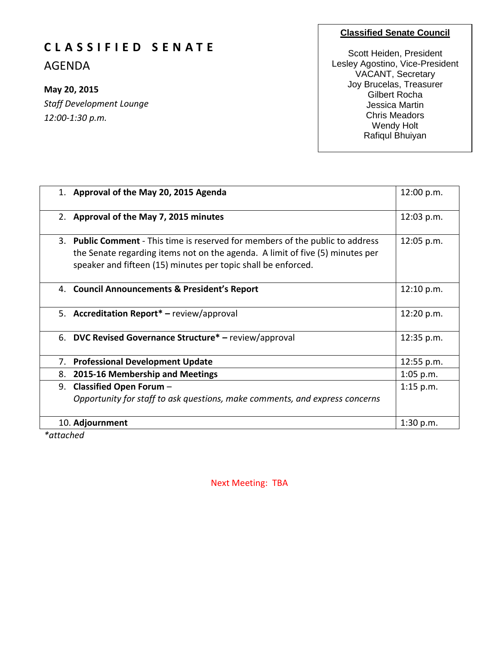#### **Classified Senate Council**

## **C L A S S I F I E D S E N A T E**

AGENDA

#### **May 20, 2015**

*Staff Development Lounge 12:00-1:30 p.m.*

Scott Heiden, President Lesley Agostino, Vice-President VACANT, Secretary Joy Brucelas, Treasurer Gilbert Rocha Jessica Martin Chris Meadors Wendy Holt Rafiqul Bhuiyan

| 1. Approval of the May 20, 2015 Agenda                                                                                                                                                                                           | 12:00 p.m.  |
|----------------------------------------------------------------------------------------------------------------------------------------------------------------------------------------------------------------------------------|-------------|
| 2. Approval of the May 7, 2015 minutes                                                                                                                                                                                           | 12:03 p.m.  |
| 3. Public Comment - This time is reserved for members of the public to address<br>the Senate regarding items not on the agenda. A limit of five (5) minutes per<br>speaker and fifteen (15) minutes per topic shall be enforced. | 12:05 p.m.  |
| 4. Council Announcements & President's Report                                                                                                                                                                                    | 12:10 p.m.  |
| 5. Accreditation Report* - review/approval                                                                                                                                                                                       | 12:20 p.m.  |
| 6. DVC Revised Governance Structure* - review/approval                                                                                                                                                                           | 12:35 p.m.  |
| <b>Professional Development Update</b><br>7.                                                                                                                                                                                     | 12:55 p.m.  |
| 2015-16 Membership and Meetings<br>8.                                                                                                                                                                                            | 1:05 p.m.   |
| 9. Classified Open Forum -<br>Opportunity for staff to ask questions, make comments, and express concerns                                                                                                                        | $1:15$ p.m. |
| 10. Adjournment                                                                                                                                                                                                                  | 1:30 p.m.   |

*\*attached*

Next Meeting: TBA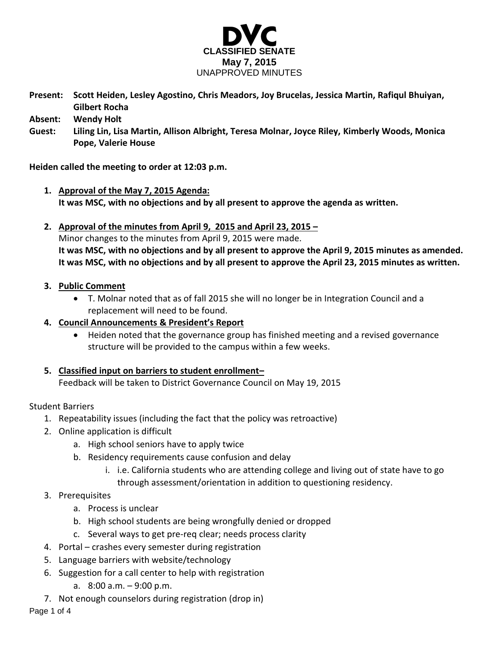

**Present: Scott Heiden, Lesley Agostino, Chris Meadors, Joy Brucelas, Jessica Martin, Rafiqul Bhuiyan, Gilbert Rocha**

**Absent: Wendy Holt**

**Guest: Liling Lin, Lisa Martin, Allison Albright, Teresa Molnar, Joyce Riley, Kimberly Woods, Monica Pope, Valerie House**

**Heiden called the meeting to order at 12:03 p.m.**

- **1. Approval of the May 7, 2015 Agenda: It was MSC, with no objections and by all present to approve the agenda as written.**
- **2. Approval of the minutes from April 9, 2015 and April 23, 2015 –** Minor changes to the minutes from April 9, 2015 were made. **It was MSC, with no objections and by all present to approve the April 9, 2015 minutes as amended. It was MSC, with no objections and by all present to approve the April 23, 2015 minutes as written.**

#### **3. Public Comment**

- T. Molnar noted that as of fall 2015 she will no longer be in Integration Council and a replacement will need to be found.
- **4. Council Announcements & President's Report**
	- Heiden noted that the governance group has finished meeting and a revised governance structure will be provided to the campus within a few weeks.
- **5. Classified input on barriers to student enrollment–**

Feedback will be taken to District Governance Council on May 19, 2015

Student Barriers

- 1. Repeatability issues (including the fact that the policy was retroactive)
- 2. Online application is difficult
	- a. High school seniors have to apply twice
	- b. Residency requirements cause confusion and delay
		- i. i.e. California students who are attending college and living out of state have to go through assessment/orientation in addition to questioning residency.
- 3. Prerequisites
	- a. Process is unclear
	- b. High school students are being wrongfully denied or dropped
	- c. Several ways to get pre-req clear; needs process clarity
- 4. Portal crashes every semester during registration
- 5. Language barriers with website/technology
- 6. Suggestion for a call center to help with registration
	- a. 8:00 a.m. 9:00 p.m.
- 7. Not enough counselors during registration (drop in)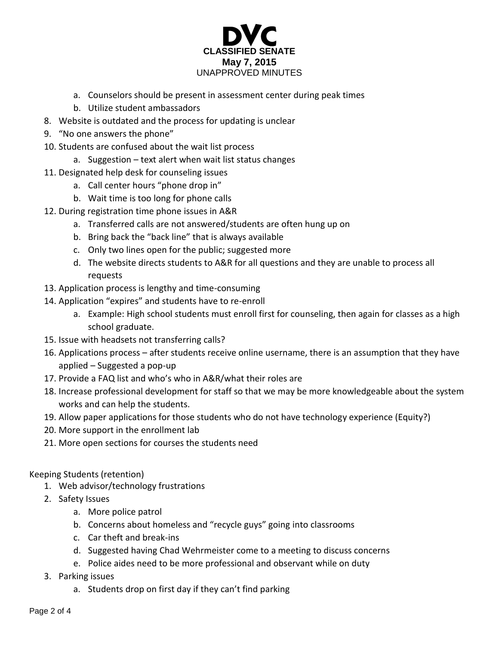

- a. Counselors should be present in assessment center during peak times
- b. Utilize student ambassadors
- 8. Website is outdated and the process for updating is unclear
- 9. "No one answers the phone"
- 10. Students are confused about the wait list process
	- a. Suggestion text alert when wait list status changes
- 11. Designated help desk for counseling issues
	- a. Call center hours "phone drop in"
	- b. Wait time is too long for phone calls
- 12. During registration time phone issues in A&R
	- a. Transferred calls are not answered/students are often hung up on
	- b. Bring back the "back line" that is always available
	- c. Only two lines open for the public; suggested more
	- d. The website directs students to A&R for all questions and they are unable to process all requests
- 13. Application process is lengthy and time-consuming
- 14. Application "expires" and students have to re-enroll
	- a. Example: High school students must enroll first for counseling, then again for classes as a high school graduate.
- 15. Issue with headsets not transferring calls?
- 16. Applications process after students receive online username, there is an assumption that they have applied – Suggested a pop-up
- 17. Provide a FAQ list and who's who in A&R/what their roles are
- 18. Increase professional development for staff so that we may be more knowledgeable about the system works and can help the students.
- 19. Allow paper applications for those students who do not have technology experience (Equity?)
- 20. More support in the enrollment lab
- 21. More open sections for courses the students need

#### Keeping Students (retention)

- 1. Web advisor/technology frustrations
- 2. Safety Issues
	- a. More police patrol
	- b. Concerns about homeless and "recycle guys" going into classrooms
	- c. Car theft and break-ins
	- d. Suggested having Chad Wehrmeister come to a meeting to discuss concerns
	- e. Police aides need to be more professional and observant while on duty
- 3. Parking issues
	- a. Students drop on first day if they can't find parking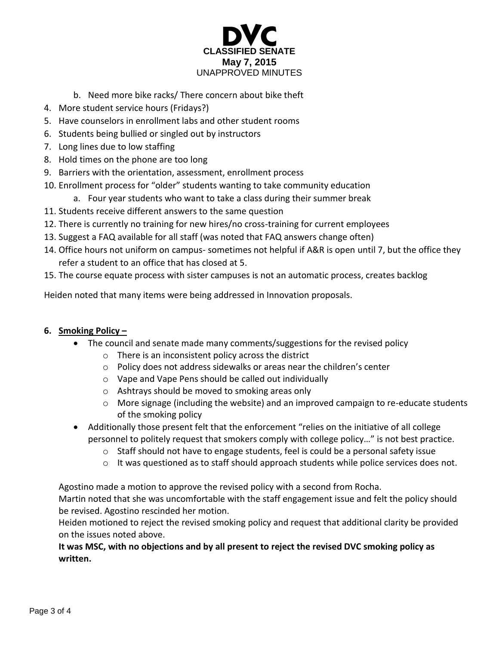

- b. Need more bike racks/ There concern about bike theft
- 4. More student service hours (Fridays?)
- 5. Have counselors in enrollment labs and other student rooms
- 6. Students being bullied or singled out by instructors
- 7. Long lines due to low staffing
- 8. Hold times on the phone are too long
- 9. Barriers with the orientation, assessment, enrollment process
- 10. Enrollment process for "older" students wanting to take community education
	- a. Four year students who want to take a class during their summer break
- 11. Students receive different answers to the same question
- 12. There is currently no training for new hires/no cross-training for current employees
- 13. Suggest a FAQ available for all staff (was noted that FAQ answers change often)
- 14. Office hours not uniform on campus- sometimes not helpful if A&R is open until 7, but the office they refer a student to an office that has closed at 5.
- 15. The course equate process with sister campuses is not an automatic process, creates backlog

Heiden noted that many items were being addressed in Innovation proposals.

#### **6. Smoking Policy –**

- The council and senate made many comments/suggestions for the revised policy
	- o There is an inconsistent policy across the district
	- o Policy does not address sidewalks or areas near the children's center
	- o Vape and Vape Pens should be called out individually
	- o Ashtrays should be moved to smoking areas only
	- o More signage (including the website) and an improved campaign to re-educate students of the smoking policy
- Additionally those present felt that the enforcement "relies on the initiative of all college personnel to politely request that smokers comply with college policy…" is not best practice.
	- o Staff should not have to engage students, feel is could be a personal safety issue
	- o It was questioned as to staff should approach students while police services does not.

Agostino made a motion to approve the revised policy with a second from Rocha.

Martin noted that she was uncomfortable with the staff engagement issue and felt the policy should be revised. Agostino rescinded her motion.

Heiden motioned to reject the revised smoking policy and request that additional clarity be provided on the issues noted above.

#### **It was MSC, with no objections and by all present to reject the revised DVC smoking policy as written.**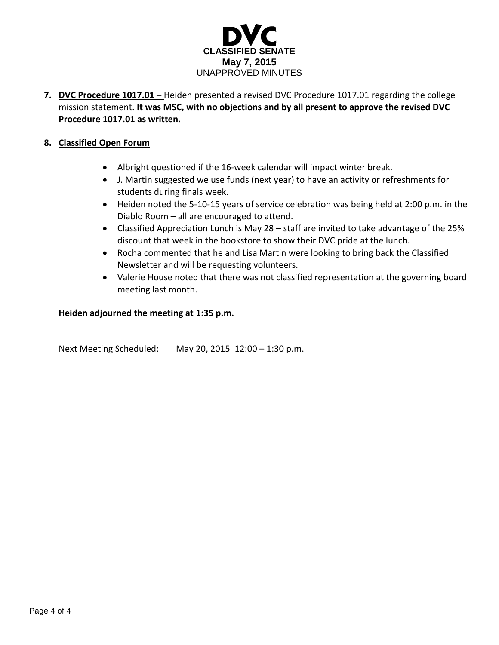

**7. DVC Procedure 1017.01 –** Heiden presented a revised DVC Procedure 1017.01 regarding the college mission statement. **It was MSC, with no objections and by all present to approve the revised DVC Procedure 1017.01 as written.** 

#### **8. Classified Open Forum**

- Albright questioned if the 16-week calendar will impact winter break.
- J. Martin suggested we use funds (next year) to have an activity or refreshments for students during finals week.
- Heiden noted the 5-10-15 years of service celebration was being held at 2:00 p.m. in the Diablo Room – all are encouraged to attend.
- Classified Appreciation Lunch is May 28 staff are invited to take advantage of the 25% discount that week in the bookstore to show their DVC pride at the lunch.
- Rocha commented that he and Lisa Martin were looking to bring back the Classified Newsletter and will be requesting volunteers.
- Valerie House noted that there was not classified representation at the governing board meeting last month.

#### **Heiden adjourned the meeting at 1:35 p.m.**

Next Meeting Scheduled: May 20, 2015 12:00 – 1:30 p.m.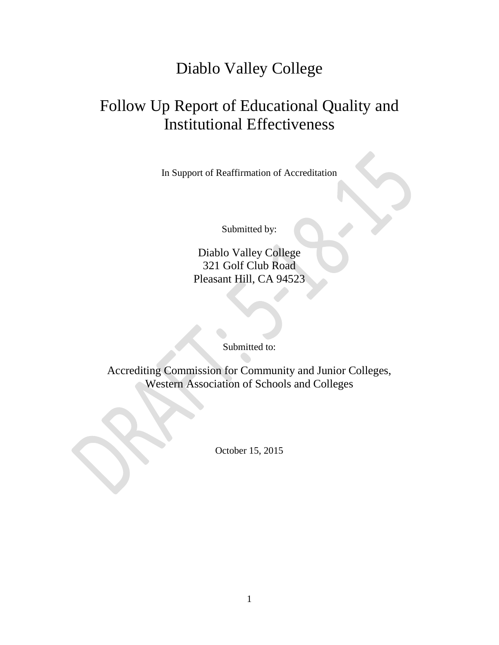## Diablo Valley College

# Follow Up Report of Educational Quality and Institutional Effectiveness

In Support of Reaffirmation of Accreditation

Submitted by:

Diablo Valley College 321 Golf Club Road Pleasant Hill, CA 94523

Submitted to:

Accrediting Commission for Community and Junior Colleges, Western Association of Schools and Colleges

October 15, 2015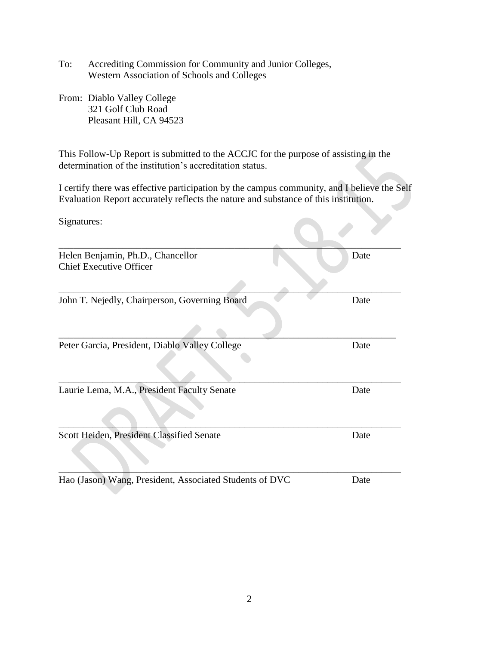- To: Accrediting Commission for Community and Junior Colleges, Western Association of Schools and Colleges
- From: Diablo Valley College 321 Golf Club Road Pleasant Hill, CA 94523

This Follow-Up Report is submitted to the ACCJC for the purpose of assisting in the determination of the institution's accreditation status.

I certify there was effective participation by the campus community, and I believe the Self Evaluation Report accurately reflects the nature and substance of this institution.

| Signatures:                                                         |      |
|---------------------------------------------------------------------|------|
| Helen Benjamin, Ph.D., Chancellor<br><b>Chief Executive Officer</b> | Date |
| John T. Nejedly, Chairperson, Governing Board                       | Date |
| Peter Garcia, President, Diablo Valley College                      | Date |
| Laurie Lema, M.A., President Faculty Senate                         | Date |
| Scott Heiden, President Classified Senate                           | Date |

Hao (Jason) Wang, President, Associated Students of DVC Date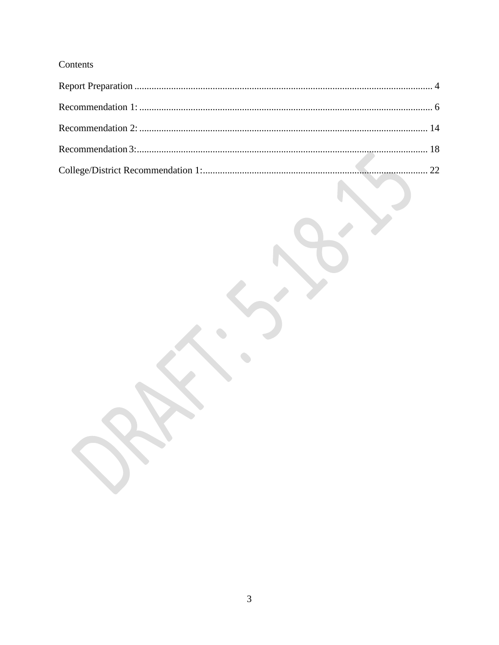## Contents

 $\bullet$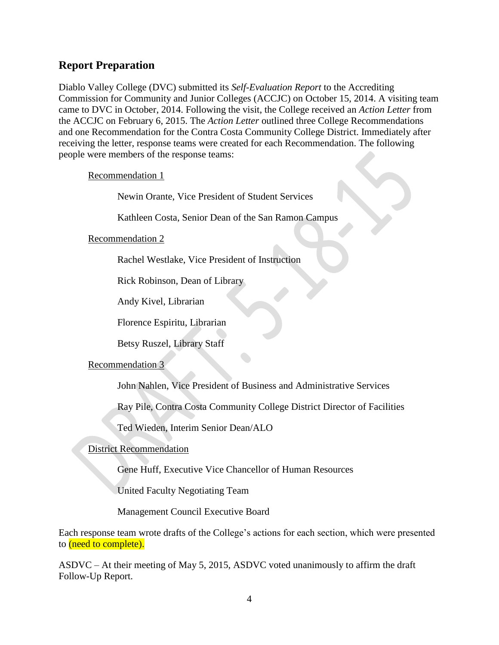### <span id="page-8-0"></span>**Report Preparation**

Diablo Valley College (DVC) submitted its *Self-Evaluation Report* to the Accrediting Commission for Community and Junior Colleges (ACCJC) on October 15, 2014. A visiting team came to DVC in October, 2014. Following the visit, the College received an *Action Letter* from the ACCJC on February 6, 2015. The *Action Letter* outlined three College Recommendations and one Recommendation for the Contra Costa Community College District. Immediately after receiving the letter, response teams were created for each Recommendation. The following people were members of the response teams:

Recommendation 1

Newin Orante, Vice President of Student Services

Kathleen Costa, Senior Dean of the San Ramon Campus

Recommendation 2

Rachel Westlake, Vice President of Instruction

Rick Robinson, Dean of Library

Andy Kivel, Librarian

Florence Espiritu, Librarian

Betsy Ruszel, Library Staff

#### Recommendation 3

John Nahlen, Vice President of Business and Administrative Services

Ray Pile, Contra Costa Community College District Director of Facilities

Ted Wieden, Interim Senior Dean/ALO

#### District Recommendation

Gene Huff, Executive Vice Chancellor of Human Resources

United Faculty Negotiating Team

Management Council Executive Board

Each response team wrote drafts of the College's actions for each section, which were presented to (need to complete).

ASDVC – At their meeting of May 5, 2015, ASDVC voted unanimously to affirm the draft Follow-Up Report.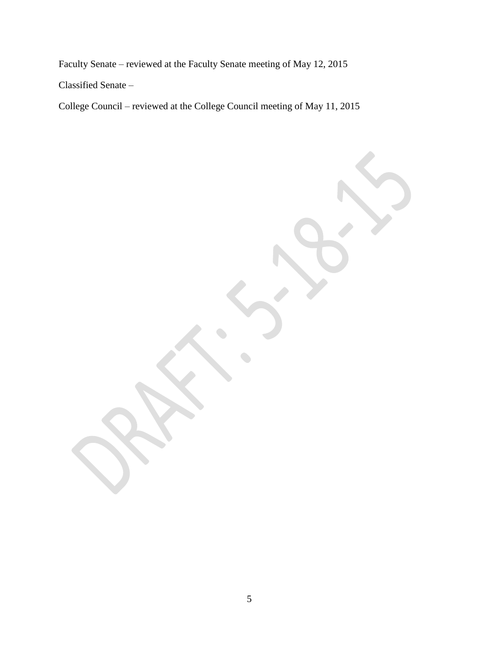Faculty Senate – reviewed at the Faculty Senate meeting of May 12, 2015

Classified Senate –

College Council – reviewed at the College Council meeting of May 11, 2015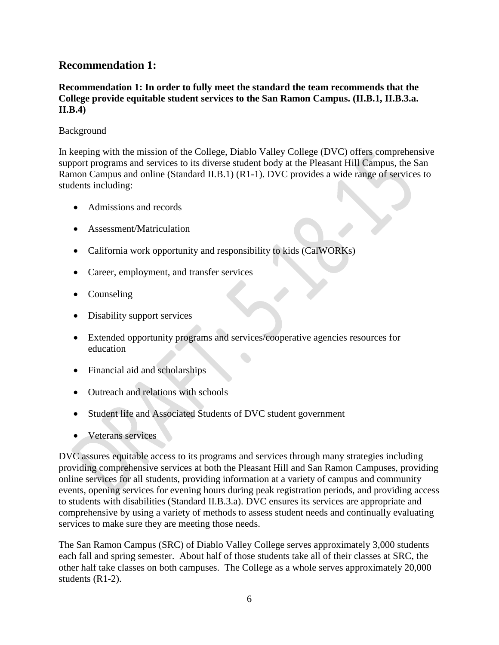### <span id="page-10-0"></span>**Recommendation 1:**

**Recommendation 1: In order to fully meet the standard the team recommends that the College provide equitable student services to the San Ramon Campus. (II.B.1, II.B.3.a. II.B.4)**

#### Background

In keeping with the mission of the College, Diablo Valley College (DVC) offers comprehensive support programs and services to its diverse student body at the Pleasant Hill Campus, the San Ramon Campus and online (Standard II.B.1) (R1-1). DVC provides a wide range of services to students including:

- Admissions and records
- Assessment/Matriculation
- California work opportunity and responsibility to kids (CalWORKs)
- Career, employment, and transfer services
- Counseling
- Disability support services
- Extended opportunity programs and services/cooperative agencies resources for education
- Financial aid and scholarships
- Outreach and relations with schools
- Student life and Associated Students of DVC student government
- Veterans services

DVC assures equitable access to its programs and services through many strategies including providing comprehensive services at both the Pleasant Hill and San Ramon Campuses, providing online services for all students, providing information at a variety of campus and community events, opening services for evening hours during peak registration periods, and providing access to students with disabilities (Standard II.B.3.a). DVC ensures its services are appropriate and comprehensive by using a variety of methods to assess student needs and continually evaluating services to make sure they are meeting those needs.

The San Ramon Campus (SRC) of Diablo Valley College serves approximately 3,000 students each fall and spring semester. About half of those students take all of their classes at SRC, the other half take classes on both campuses. The College as a whole serves approximately 20,000 students (R1-2).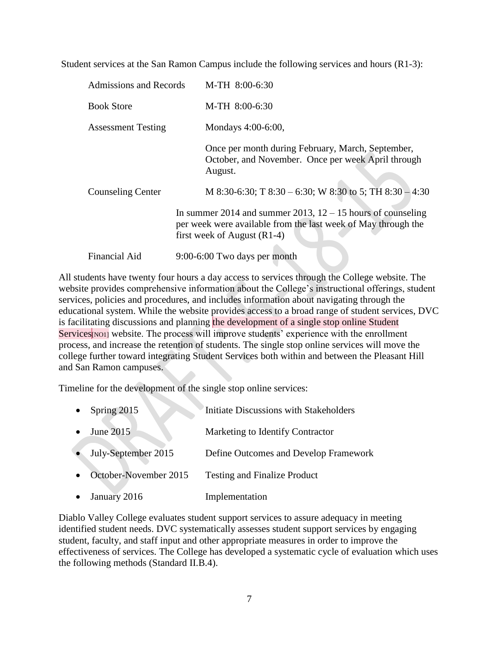Student services at the San Ramon Campus include the following services and hours (R1-3):

| Admissions and Records    | M-TH 8:00-6:30                                                                                                                                                  |  |
|---------------------------|-----------------------------------------------------------------------------------------------------------------------------------------------------------------|--|
| <b>Book Store</b>         | M-TH 8:00-6:30                                                                                                                                                  |  |
| <b>Assessment Testing</b> | Mondays 4:00-6:00,                                                                                                                                              |  |
|                           | Once per month during February, March, September,<br>October, and November. Once per week April through<br>August.                                              |  |
| <b>Counseling Center</b>  | M 8:30-6:30; T 8:30 – 6:30; W 8:30 to 5; TH 8:30 – 4:30                                                                                                         |  |
|                           | In summer 2014 and summer 2013, $12 - 15$ hours of counseling<br>per week were available from the last week of May through the<br>first week of August $(R1-4)$ |  |
| <b>Financial Aid</b>      | 9:00-6:00 Two days per month                                                                                                                                    |  |

All students have twenty four hours a day access to services through the College website. The website provides comprehensive information about the College's instructional offerings, student services, policies and procedures, and includes information about navigating through the educational system. While the website provides access to a broad range of student services, DVC is facilitating discussions and planning the development of a single stop online Student Services<sup>[NO1]</sup> website. The process will improve students' experience with the enrollment process, and increase the retention of students. The single stop online services will move the college further toward integrating Student Services both within and between the Pleasant Hill and San Ramon campuses.

Timeline for the development of the single stop online services:

| Spring 2015           | Initiate Discussions with Stakeholders |
|-----------------------|----------------------------------------|
| June 2015             | Marketing to Identify Contractor       |
| July-September 2015   | Define Outcomes and Develop Framework  |
| October-November 2015 | <b>Testing and Finalize Product</b>    |
| January 2016          | Implementation                         |

Diablo Valley College evaluates student support services to assure adequacy in meeting identified student needs. DVC systematically assesses student support services by engaging student, faculty, and staff input and other appropriate measures in order to improve the effectiveness of services. The College has developed a systematic cycle of evaluation which uses the following methods (Standard II.B.4).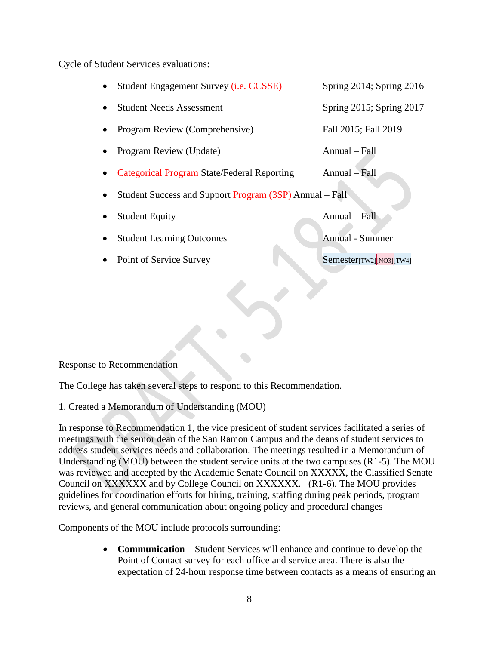Cycle of Student Services evaluations:

 Student Engagement Survey (i.e. CCSSE) Spring 2014; Spring 2016 Student Needs Assessment Spring 2015; Spring 2017 • Program Review (Comprehensive) Fall 2015; Fall 2019 Program Review (Update) Annual – Fall Categorical Program State/Federal Reporting Annual – Fall • Student Success and Support Program (3SP) Annual – Fall Student Equity Annual – Fall Student Learning Outcomes Annual - Summer • Point of Service Survey Semester[TW2][NO3][TW4]

Response to Recommendation

The College has taken several steps to respond to this Recommendation.

1. Created a Memorandum of Understanding (MOU)

In response to Recommendation 1, the vice president of student services facilitated a series of meetings with the senior dean of the San Ramon Campus and the deans of student services to address student services needs and collaboration. The meetings resulted in a Memorandum of Understanding (MOU) between the student service units at the two campuses (R1-5). The MOU was reviewed and accepted by the Academic Senate Council on XXXXX, the Classified Senate Council on XXXXXX and by College Council on XXXXXX. (R1-6). The MOU provides guidelines for coordination efforts for hiring, training, staffing during peak periods, program reviews, and general communication about ongoing policy and procedural changes

Components of the MOU include protocols surrounding:

 **Communication** – Student Services will enhance and continue to develop the Point of Contact survey for each office and service area. There is also the expectation of 24-hour response time between contacts as a means of ensuring an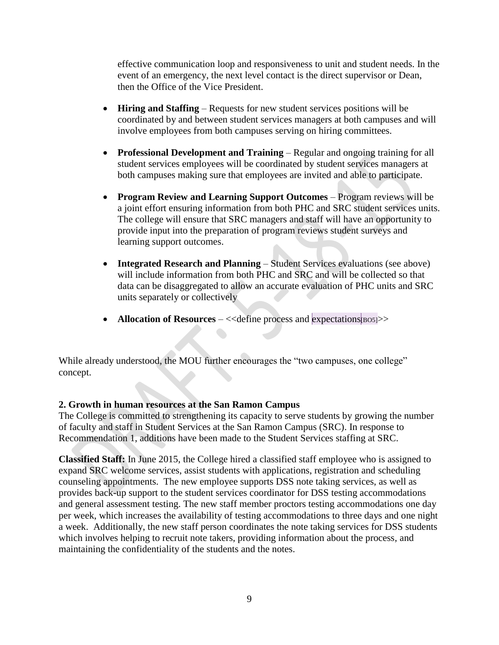effective communication loop and responsiveness to unit and student needs. In the event of an emergency, the next level contact is the direct supervisor or Dean, then the Office of the Vice President.

- **Hiring and Staffing**  Requests for new student services positions will be coordinated by and between student services managers at both campuses and will involve employees from both campuses serving on hiring committees.
- **Professional Development and Training** Regular and ongoing training for all student services employees will be coordinated by student services managers at both campuses making sure that employees are invited and able to participate.
- **Program Review and Learning Support Outcomes Program reviews will be** a joint effort ensuring information from both PHC and SRC student services units. The college will ensure that SRC managers and staff will have an opportunity to provide input into the preparation of program reviews student surveys and learning support outcomes.
- **Integrated Research and Planning** Student Services evaluations (see above) will include information from both PHC and SRC and will be collected so that data can be disaggregated to allow an accurate evaluation of PHC units and SRC units separately or collectively
- **Allocation of Resources** <<define process and expectations  $|_{\text{BOS}}|>>$

While already understood, the MOU further encourages the "two campuses, one college" concept.

 $\bullet$ 

#### **2. Growth in human resources at the San Ramon Campus**

The College is committed to strengthening its capacity to serve students by growing the number of faculty and staff in Student Services at the San Ramon Campus (SRC). In response to Recommendation 1, additions have been made to the Student Services staffing at SRC.

**Classified Staff:** In June 2015, the College hired a classified staff employee who is assigned to expand SRC welcome services, assist students with applications, registration and scheduling counseling appointments. The new employee supports DSS note taking services, as well as provides back-up support to the student services coordinator for DSS testing accommodations and general assessment testing. The new staff member proctors testing accommodations one day per week, which increases the availability of testing accommodations to three days and one night a week. Additionally, the new staff person coordinates the note taking services for DSS students which involves helping to recruit note takers, providing information about the process, and maintaining the confidentiality of the students and the notes.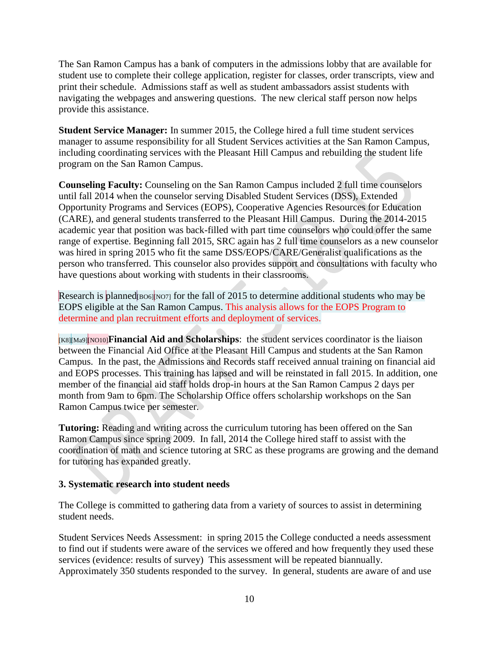The San Ramon Campus has a bank of computers in the admissions lobby that are available for student use to complete their college application, register for classes, order transcripts, view and print their schedule. Admissions staff as well as student ambassadors assist students with navigating the webpages and answering questions. The new clerical staff person now helps provide this assistance.

**Student Service Manager:** In summer 2015, the College hired a full time student services manager to assume responsibility for all Student Services activities at the San Ramon Campus, including coordinating services with the Pleasant Hill Campus and rebuilding the student life program on the San Ramon Campus.

**Counseling Faculty:** Counseling on the San Ramon Campus included 2 full time counselors until fall 2014 when the counselor serving Disabled Student Services (DSS), Extended Opportunity Programs and Services (EOPS), Cooperative Agencies Resources for Education (CARE), and general students transferred to the Pleasant Hill Campus. During the 2014-2015 academic year that position was back-filled with part time counselors who could offer the same range of expertise. Beginning fall 2015, SRC again has 2 full time counselors as a new counselor was hired in spring 2015 who fit the same DSS/EOPS/CARE/Generalist qualifications as the person who transferred. This counselor also provides support and consultations with faculty who have questions about working with students in their classrooms.

Research is planned  $\log_{10}$  [NO7] for the fall of 2015 to determine additional students who may be EOPS eligible at the San Ramon Campus. This analysis allows for the EOPS Program to determine and plan recruitment efforts and deployment of services.

[K8][Ma9][NO10]**Financial Aid and Scholarships**: the student services coordinator is the liaison between the Financial Aid Office at the Pleasant Hill Campus and students at the San Ramon Campus. In the past, the Admissions and Records staff received annual training on financial aid and EOPS processes. This training has lapsed and will be reinstated in fall 2015. In addition, one member of the financial aid staff holds drop-in hours at the San Ramon Campus 2 days per month from 9am to 6pm. The Scholarship Office offers scholarship workshops on the San Ramon Campus twice per semester.

**Tutoring:** Reading and writing across the curriculum tutoring has been offered on the San Ramon Campus since spring 2009. In fall, 2014 the College hired staff to assist with the coordination of math and science tutoring at SRC as these programs are growing and the demand for tutoring has expanded greatly.

#### **3. Systematic research into student needs**

The College is committed to gathering data from a variety of sources to assist in determining student needs.

Student Services Needs Assessment: in spring 2015 the College conducted a needs assessment to find out if students were aware of the services we offered and how frequently they used these services (evidence: results of survey) This assessment will be repeated biannually. Approximately 350 students responded to the survey. In general, students are aware of and use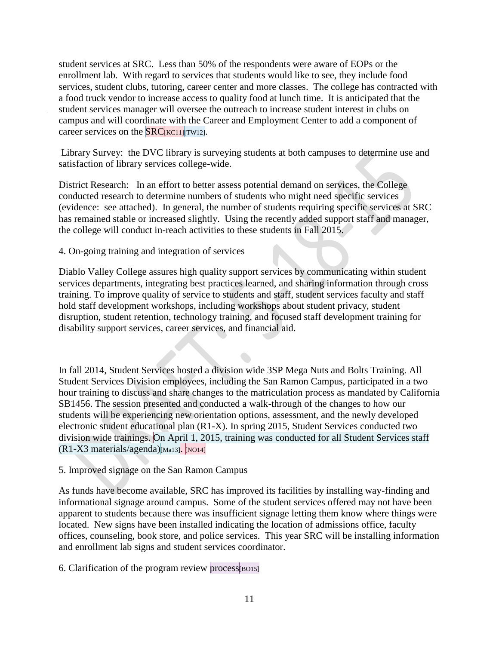student services at SRC. Less than 50% of the respondents were aware of EOPs or the enrollment lab. With regard to services that students would like to see, they include food services, student clubs, tutoring, career center and more classes. The college has contracted with a food truck vendor to increase access to quality food at lunch time. It is anticipated that the student services manager will oversee the outreach to increase student interest in clubs on campus and will coordinate with the Career and Employment Center to add a component of career services on the  $SRC$ [ $KCl1$ ][ $TW12$ ].

Library Survey: the DVC library is surveying students at both campuses to determine use and satisfaction of library services college-wide.

District Research: In an effort to better assess potential demand on services, the College conducted research to determine numbers of students who might need specific services (evidence: see attached). In general, the number of students requiring specific services at SRC has remained stable or increased slightly. Using the recently added support staff and manager, the college will conduct in-reach activities to these students in Fall 2015.

4. On-going training and integration of services

Diablo Valley College assures high quality support services by communicating within student services departments, integrating best practices learned, and sharing information through cross training. To improve quality of service to students and staff, student services faculty and staff hold staff development workshops, including workshops about student privacy, student disruption, student retention, technology training, and focused staff development training for disability support services, career services, and financial aid.

In fall 2014, Student Services hosted a division wide 3SP Mega Nuts and Bolts Training. All Student Services Division employees, including the San Ramon Campus, participated in a two hour training to discuss and share changes to the matriculation process as mandated by California SB1456. The session presented and conducted a walk-through of the changes to how our students will be experiencing new orientation options, assessment, and the newly developed electronic student educational plan (R1-X). In spring 2015, Student Services conducted two division wide trainings. On April 1, 2015, training was conducted for all Student Services staff  $(R1-X3$  materials/agenda)[Ma13]. [NO14]

5. Improved signage on the San Ramon Campus

As funds have become available, SRC has improved its facilities by installing way-finding and informational signage around campus. Some of the student services offered may not have been apparent to students because there was insufficient signage letting them know where things were located. New signs have been installed indicating the location of admissions office, faculty offices, counseling, book store, and police services. This year SRC will be installing information and enrollment lab signs and student services coordinator.

6. Clarification of the program review process  $_{\text{[BO15]}}$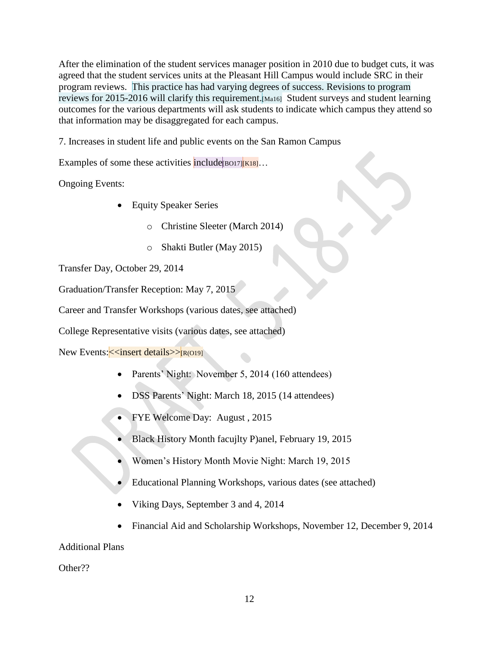After the elimination of the student services manager position in 2010 due to budget cuts, it was agreed that the student services units at the Pleasant Hill Campus would include SRC in their program reviews. This practice has had varying degrees of success. Revisions to program reviews for 2015-2016 will clarify this requirement.[Ma16] Student surveys and student learning outcomes for the various departments will ask students to indicate which campus they attend so that information may be disaggregated for each campus.

7. Increases in student life and public events on the San Ramon Campus

Examples of some these activities include  $B[16017]$  $K18]...$ 

Ongoing Events:

- Equity Speaker Series
	- o Christine Sleeter (March 2014)
	- o Shakti Butler (May 2015)

Transfer Day, October 29, 2014

Graduation/Transfer Reception: May 7, 2015

Career and Transfer Workshops (various dates, see attached)

College Representative visits (various dates, see attached)

New Events: << insert details>>[R(O19]

- Parents' Night: November 5, 2014 (160 attendees)
- DSS Parents' Night: March 18, 2015 (14 attendees)
- FYE Welcome Day: August , 2015
- Black History Month facujlty P)anel, February 19, 2015
- Women's History Month Movie Night: March 19, 2015
- Educational Planning Workshops, various dates (see attached)
- Viking Days, September 3 and 4, 2014
- Financial Aid and Scholarship Workshops, November 12, December 9, 2014

Additional Plans

Other??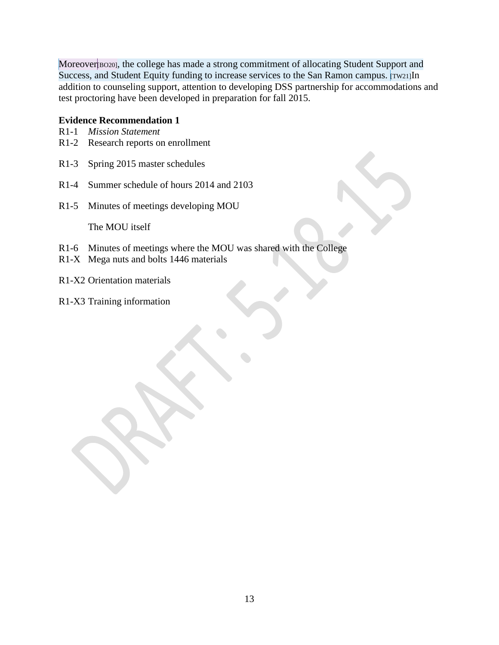Moreover<sup>[BO20]</sup>, the college has made a strong commitment of allocating Student Support and Success, and Student Equity funding to increase services to the San Ramon campus. [Tw21]In addition to counseling support, attention to developing DSS partnership for accommodations and test proctoring have been developed in preparation for fall 2015.

#### **Evidence Recommendation 1**

- R1-1 *Mission Statement*
- R1-2 Research reports on enrollment
- R1-3 Spring 2015 master schedules
- R1-4 Summer schedule of hours 2014 and 2103
- R1-5 Minutes of meetings developing MOU

The MOU itself

- R1-6 Minutes of meetings where the MOU was shared with the College
- R1-X Mega nuts and bolts 1446 materials
- R1-X2 Orientation materials
- R1-X3 Training information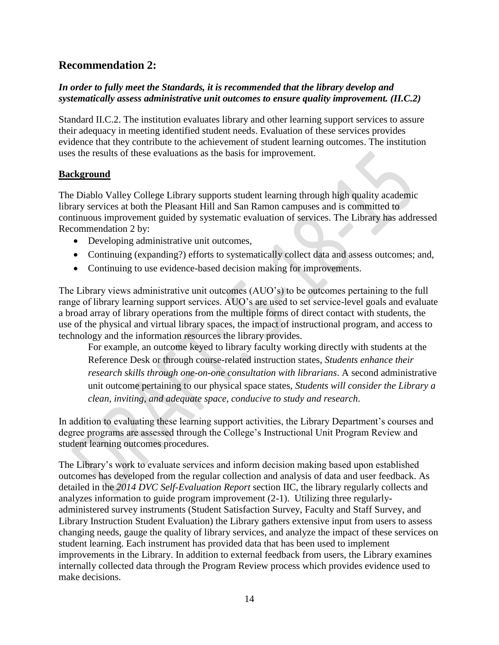### <span id="page-18-0"></span>**Recommendation 2:**

#### *In order to fully meet the Standards, it is recommended that the library develop and systematically assess administrative unit outcomes to ensure quality improvement. (II.C.2)*

Standard II.C.2. The institution evaluates library and other learning support services to assure their adequacy in meeting identified student needs. Evaluation of these services provides evidence that they contribute to the achievement of student learning outcomes. The institution uses the results of these evaluations as the basis for improvement.

#### **Background**

The Diablo Valley College Library supports student learning through high quality academic library services at both the Pleasant Hill and San Ramon campuses and is committed to continuous improvement guided by systematic evaluation of services. The Library has addressed Recommendation 2 by:

- Developing administrative unit outcomes,
- Continuing (expanding?) efforts to systematically collect data and assess outcomes; and,
- Continuing to use evidence-based decision making for improvements.

The Library views administrative unit outcomes (AUO's) to be outcomes pertaining to the full range of library learning support services. AUO's are used to set service-level goals and evaluate a broad array of library operations from the multiple forms of direct contact with students, the use of the physical and virtual library spaces, the impact of instructional program, and access to technology and the information resources the library provides.

For example, an outcome keyed to library faculty working directly with students at the Reference Desk or through course-related instruction states, *Students enhance their research skills through one-on-one consultation with librarians*. A second administrative unit outcome pertaining to our physical space states, *Students will consider the Library a clean, inviting, and adequate space, conducive to study and research*.

In addition to evaluating these learning support activities, the Library Department's courses and degree programs are assessed through the College's Instructional Unit Program Review and student learning outcomes procedures.

The Library's work to evaluate services and inform decision making based upon established outcomes has developed from the regular collection and analysis of data and user feedback. As detailed in the *2014 DVC Self-Evaluation Report* section IIC, the library regularly collects and analyzes information to guide program improvement (2-1). Utilizing three regularlyadministered survey instruments (Student Satisfaction Survey, Faculty and Staff Survey, and Library Instruction Student Evaluation) the Library gathers extensive input from users to assess changing needs, gauge the quality of library services, and analyze the impact of these services on student learning. Each instrument has provided data that has been used to implement improvements in the Library. In addition to external feedback from users, the Library examines internally collected data through the Program Review process which provides evidence used to make decisions.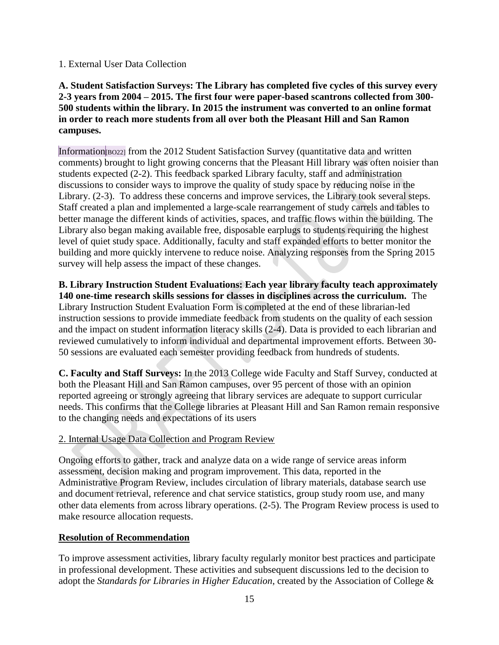#### 1. External User Data Collection

**A. Student Satisfaction Surveys: The Library has completed five cycles of this survey every 2-3 years from 2004 – 2015. The first four were paper-based scantrons collected from 300- 500 students within the library. In 2015 the instrument was converted to an online format in order to reach more students from all over both the Pleasant Hill and San Ramon campuses.** 

Information[BO22] from the 2012 Student Satisfaction Survey (quantitative data and written comments) brought to light growing concerns that the Pleasant Hill library was often noisier than students expected (2-2). This feedback sparked Library faculty, staff and administration discussions to consider ways to improve the quality of study space by reducing noise in the Library. (2-3). To address these concerns and improve services, the Library took several steps. Staff created a plan and implemented a large-scale rearrangement of study carrels and tables to better manage the different kinds of activities, spaces, and traffic flows within the building. The Library also began making available free, disposable earplugs to students requiring the highest level of quiet study space. Additionally, faculty and staff expanded efforts to better monitor the building and more quickly intervene to reduce noise. Analyzing responses from the Spring 2015 survey will help assess the impact of these changes.

**B. Library Instruction Student Evaluations: Each year library faculty teach approximately 140 one-time research skills sessions for classes in disciplines across the curriculum.** The Library Instruction Student Evaluation Form is completed at the end of these librarian-led instruction sessions to provide immediate feedback from students on the quality of each session and the impact on student information literacy skills (2-4). Data is provided to each librarian and reviewed cumulatively to inform individual and departmental improvement efforts. Between 30- 50 sessions are evaluated each semester providing feedback from hundreds of students.

**C. Faculty and Staff Surveys:** In the 2013 College wide Faculty and Staff Survey, conducted at both the Pleasant Hill and San Ramon campuses, over 95 percent of those with an opinion reported agreeing or strongly agreeing that library services are adequate to support curricular needs. This confirms that the College libraries at Pleasant Hill and San Ramon remain responsive to the changing needs and expectations of its users

#### 2. Internal Usage Data Collection and Program Review

Ongoing efforts to gather, track and analyze data on a wide range of service areas inform assessment, decision making and program improvement. This data, reported in the Administrative Program Review, includes circulation of library materials, database search use and document retrieval, reference and chat service statistics, group study room use, and many other data elements from across library operations. (2-5). The Program Review process is used to make resource allocation requests.

#### **Resolution of Recommendation**

To improve assessment activities, library faculty regularly monitor best practices and participate in professional development. These activities and subsequent discussions led to the decision to adopt the *Standards for Libraries in Higher Education*, created by the Association of College &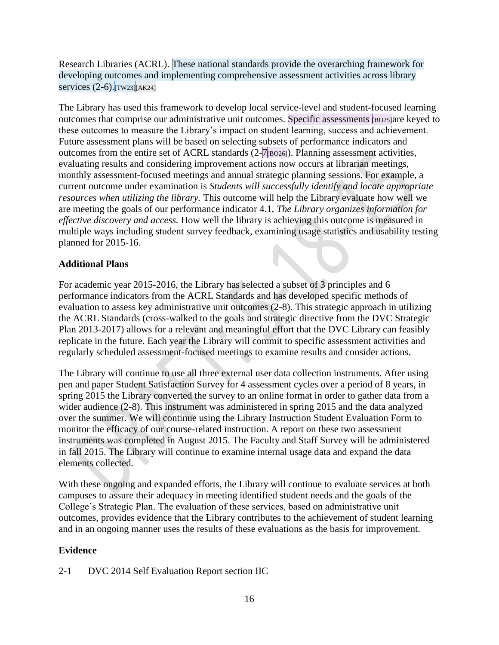Research Libraries (ACRL). These national standards provide the overarching framework for developing outcomes and implementing comprehensive assessment activities across library services  $(2-6)$ . Tw23  $\vert$  AK24]

The Library has used this framework to develop local service-level and student-focused learning outcomes that comprise our administrative unit outcomes. Specific assessments [BO25]are keyed to these outcomes to measure the Library's impact on student learning, success and achievement. Future assessment plans will be based on selecting subsets of performance indicators and outcomes from the entire set of ACRL standards  $(2-\overline{7}|\text{BO26})$ . Planning assessment activities, evaluating results and considering improvement actions now occurs at librarian meetings, monthly assessment-focused meetings and annual strategic planning sessions. For example, a current outcome under examination is *Students will successfully identify and locate appropriate resources when utilizing the library.* This outcome will help the Library evaluate how well we are meeting the goals of our performance indicator 4.1, *The Library organizes information for effective discovery and access.* How well the library is achieving this outcome is measured in multiple ways including student survey feedback, examining usage statistics and usability testing planned for 2015-16.

#### **Additional Plans**

For academic year 2015-2016, the Library has selected a subset of 3 principles and 6 performance indicators from the ACRL Standards and has developed specific methods of evaluation to assess key administrative unit outcomes (2-8). This strategic approach in utilizing the ACRL Standards (cross-walked to the goals and strategic directive from the DVC Strategic Plan 2013-2017) allows for a relevant and meaningful effort that the DVC Library can feasibly replicate in the future. Each year the Library will commit to specific assessment activities and regularly scheduled assessment-focused meetings to examine results and consider actions.

The Library will continue to use all three external user data collection instruments. After using pen and paper Student Satisfaction Survey for 4 assessment cycles over a period of 8 years, in spring 2015 the Library converted the survey to an online format in order to gather data from a wider audience (2-8). This instrument was administered in spring 2015 and the data analyzed over the summer. We will continue using the Library Instruction Student Evaluation Form to monitor the efficacy of our course-related instruction. A report on these two assessment instruments was completed in August 2015. The Faculty and Staff Survey will be administered in fall 2015. The Library will continue to examine internal usage data and expand the data elements collected.

With these ongoing and expanded efforts, the Library will continue to evaluate services at both campuses to assure their adequacy in meeting identified student needs and the goals of the College's Strategic Plan. The evaluation of these services, based on administrative unit outcomes, provides evidence that the Library contributes to the achievement of student learning and in an ongoing manner uses the results of these evaluations as the basis for improvement.

#### **Evidence**

2-1 DVC 2014 Self Evaluation Report section IIC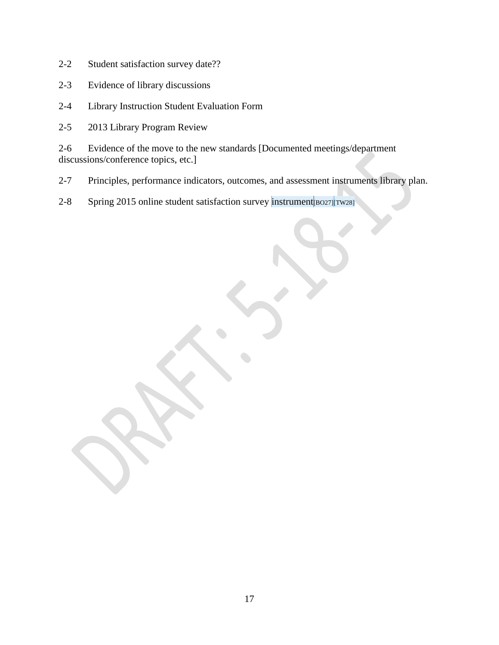- 2-2 Student satisfaction survey date??
- 2-3 Evidence of library discussions
- 2-4 Library Instruction Student Evaluation Form
- 2-5 2013 Library Program Review

2-6 Evidence of the move to the new standards [Documented meetings/department discussions/conference topics, etc.]

- 2-7 Principles, performance indicators, outcomes, and assessment instruments library plan.
- 2-8 Spring 2015 online student satisfaction survey instrument [BO27][TW28]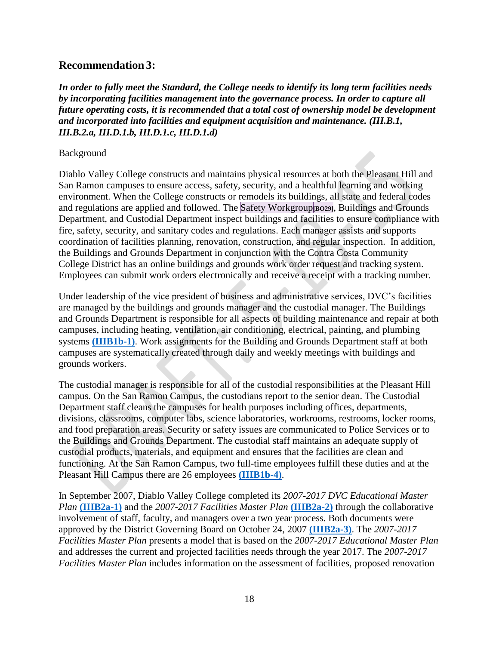#### <span id="page-22-0"></span>**Recommendation 3:**

*In order to fully meet the Standard, the College needs to identify its long term facilities needs by incorporating facilities management into the governance process. In order to capture all future operating costs, it is recommended that a total cost of ownership model be development and incorporated into facilities and equipment acquisition and maintenance. (III.B.1, III.B.2.a, III.D.1.b, III.D.1.c, III.D.1.d)* 

#### Background

Diablo Valley College constructs and maintains physical resources at both the Pleasant Hill and San Ramon campuses to ensure access, safety, security, and a healthful learning and working environment. When the College constructs or remodels its buildings, all state and federal codes and regulations are applied and followed. The Safety Workgroup**[BO29]**, Buildings and Grounds Department, and Custodial Department inspect buildings and facilities to ensure compliance with fire, safety, security, and sanitary codes and regulations. Each manager assists and supports coordination of facilities planning, renovation, construction, and regular inspection. In addition, the Buildings and Grounds Department in conjunction with the Contra Costa Community College District has an online buildings and grounds work order request and tracking system. Employees can submit work orders electronically and receive a receipt with a tracking number.

Under leadership of the vice president of business and administrative services, DVC's facilities are managed by the buildings and grounds manager and the custodial manager. The Buildings and Grounds Department is responsible for all aspects of building maintenance and repair at both campuses, including heating, ventilation, air conditioning, electrical, painting, and plumbing systems **[\(IIIB1b-1\)](file:///C:/Users/fwieden025/Desktop/Follow%20Up%20Report%20FA2015/Recommendation%203/Evidence/IIIB1b-1)**. Work assignments for the Building and Grounds Department staff at both campuses are systematically created through daily and weekly meetings with buildings and grounds workers.

The custodial manager is responsible for all of the custodial responsibilities at the Pleasant Hill campus. On the San Ramon Campus, the custodians report to the senior dean. The Custodial Department staff cleans the campuses for health purposes including offices, departments, divisions, classrooms, computer labs, science laboratories, workrooms, restrooms, locker rooms, and food preparation areas. Security or safety issues are communicated to Police Services or to the Buildings and Grounds Department. The custodial staff maintains an adequate supply of custodial products, materials, and equipment and ensures that the facilities are clean and functioning. At the San Ramon Campus, two full-time employees fulfill these duties and at the Pleasant Hill Campus there are 26 employees **[\(IIIB1b-4\)](file:///C:/Users/fwieden025/Desktop/Follow%20Up%20Report%20FA2015/Recommendation%203/Evidence/IIIB1b-4)**.

In September 2007, Diablo Valley College completed its *2007-2017 DVC Educational Master Plan* **[\(IIIB2a-1\)](file:///C:/Users/fwieden025/Desktop/Follow%20Up%20Report%20FA2015/Recommendation%203/Evidence/IIIB2a-1)** and the *2007-2017 Facilities Master Plan* **[\(IIIB2a-2\)](file:///C:/Users/fwieden025/Desktop/Follow%20Up%20Report%20FA2015/Recommendation%203/Evidence/IIIB2a-2)** through the collaborative involvement of staff, faculty, and managers over a two year process. Both documents were approved by the District Governing Board on October 24, 2007 **[\(IIIB2a-3\)](file:///C:/Users/fwieden025/Desktop/Follow%20Up%20Report%20FA2015/Recommendation%203/Evidence/IIIB2a-3)**. The *2007-2017 Facilities Master Plan* presents a model that is based on the *2007-2017 Educational Master Plan*  and addresses the current and projected facilities needs through the year 2017. The *2007-2017 Facilities Master Plan* includes information on the assessment of facilities, proposed renovation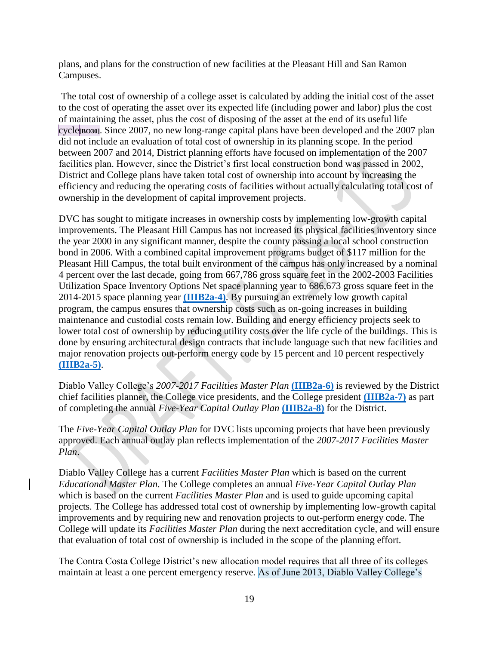plans, and plans for the construction of new facilities at the Pleasant Hill and San Ramon Campuses.

The total cost of ownership of a college asset is calculated by adding the initial cost of the asset to the cost of operating the asset over its expected life (including power and labor) plus the cost of maintaining the asset, plus the cost of disposing of the asset at the end of its useful life cycle**[BO30]**. Since 2007, no new long-range capital plans have been developed and the 2007 plan did not include an evaluation of total cost of ownership in its planning scope. In the period between 2007 and 2014, District planning efforts have focused on implementation of the 2007 facilities plan. However, since the District's first local construction bond was passed in 2002, District and College plans have taken total cost of ownership into account by increasing the efficiency and reducing the operating costs of facilities without actually calculating total cost of ownership in the development of capital improvement projects.

DVC has sought to mitigate increases in ownership costs by implementing low-growth capital improvements. The Pleasant Hill Campus has not increased its physical facilities inventory since the year 2000 in any significant manner, despite the county passing a local school construction bond in 2006. With a combined capital improvement programs budget of \$117 million for the Pleasant Hill Campus, the total built environment of the campus has only increased by a nominal 4 percent over the last decade, going from 667,786 gross square feet in the 2002-2003 Facilities Utilization Space Inventory Options Net space planning year to 686,673 gross square feet in the 2014-2015 space planning year **[\(IIIB2a-4\)](file:///C:/Users/fwieden025/Desktop/Follow%20Up%20Report%20FA2015/Recommendation%203/Evidence/IIIB2a-4)**. By pursuing an extremely low growth capital program, the campus ensures that ownership costs such as on-going increases in building maintenance and custodial costs remain low. Building and energy efficiency projects seek to lower total cost of ownership by reducing utility costs over the life cycle of the buildings. This is done by ensuring architectural design contracts that include language such that new facilities and major renovation projects out-perform energy code by 15 percent and 10 percent respectively **[\(IIIB2a-5\)](file:///C:/Users/fwieden025/Desktop/Follow%20Up%20Report%20FA2015/Recommendation%203/Evidence/IIIB2a-5)**.

Diablo Valley College's *2007-2017 Facilities Master Plan* **[\(IIIB2a-6\)](file:///C:/Users/fwieden025/Desktop/Follow%20Up%20Report%20FA2015/Recommendation%203/Evidence/IIIB2a-6)** is reviewed by the District chief facilities planner, the College vice presidents, and the College president **[\(IIIB2a-7\)](file:///C:/Users/fwieden025/Desktop/Follow%20Up%20Report%20FA2015/Recommendation%203/Evidence/IIIB2a-7)** as part of completing the annual *Five-Year Capital Outlay Plan* **[\(IIIB2a-8\)](file:///C:/Users/fwieden025/Desktop/Follow%20Up%20Report%20FA2015/Recommendation%203/Evidence/IIIB2a-8)** for the District.

The *Five-Year Capital Outlay Plan* for DVC lists upcoming projects that have been previously approved. Each annual outlay plan reflects implementation of the *2007-2017 Facilities Master Plan*.

Diablo Valley College has a current *Facilities Master Plan* which is based on the current *Educational Master Plan*. The College completes an annual *Five-Year Capital Outlay Plan* which is based on the current *Facilities Master Plan* and is used to guide upcoming capital projects. The College has addressed total cost of ownership by implementing low-growth capital improvements and by requiring new and renovation projects to out-perform energy code. The College will update its *Facilities Master Plan* during the next accreditation cycle, and will ensure that evaluation of total cost of ownership is included in the scope of the planning effort.

The Contra Costa College District's new allocation model requires that all three of its colleges maintain at least a one percent emergency reserve. As of June 2013, Diablo Valley College's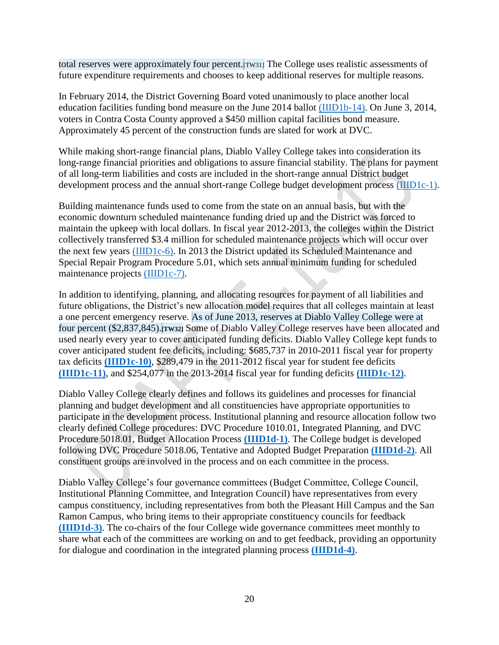total reserves were approximately four percent.[TW31] The College uses realistic assessments of future expenditure requirements and chooses to keep additional reserves for multiple reasons.

In February 2014, the District Governing Board voted unanimously to place another local education facilities funding bond measure on the June 2014 ballot [\(IIID1b-14\).](file:///C:/Users/fwieden025/Desktop/Follow%20Up%20Report%20FA2015/Recommendation%203/Evidence/IIID1b-14) On June 3, 2014, voters in Contra Costa County approved a \$450 million capital facilities bond measure. Approximately 45 percent of the construction funds are slated for work at DVC.

While making short-range financial plans, Diablo Valley College takes into consideration its long-range financial priorities and obligations to assure financial stability. The plans for payment of all long-term liabilities and costs are included in the short-range annual District budget development process and the annual short-range College budget development process [\(IIID1c-1\).](file:///C:/Users/fwieden025/Desktop/Follow%20Up%20Report%20FA2015/Recommendation%203/Evidence/IIID1c-1)

Building maintenance funds used to come from the state on an annual basis, but with the economic downturn scheduled maintenance funding dried up and the District was forced to maintain the upkeep with local dollars. In fiscal year 2012-2013, the colleges within the District collectively transferred \$3.4 million for scheduled maintenance projects which will occur over the next few years [\(IIID1c-6\).](file:///C:/Users/fwieden025/Desktop/Follow%20Up%20Report%20FA2015/Recommendation%203/Evidence/IIID1c-6) In 2013 the District updated its Scheduled Maintenance and Special Repair Program Procedure 5.01, which sets annual minimum funding for scheduled maintenance projects [\(IIID1c-7\).](file:///C:/Users/fwieden025/Desktop/Follow%20Up%20Report%20FA2015/Recommendation%203/Evidence/IIID1c-7)

In addition to identifying, planning, and allocating resources for payment of all liabilities and future obligations, the District's new allocation model requires that all colleges maintain at least a one percent emergency reserve. As of June 2013, reserves at Diablo Valley College were at four percent (\$2,837,845).**[TW32]** Some of Diablo Valley College reserves have been allocated and used nearly every year to cover anticipated funding deficits. Diablo Valley College kept funds to cover anticipated student fee deficits, including: \$685,737 in 2010-2011 fiscal year for property tax deficits **[\(IIID1c-10\)](file:///C:/Users/fwieden025/Desktop/Follow%20Up%20Report%20FA2015/Recommendation%203/Evidence/IIID1c-10)**, \$289,479 in the 2011-2012 fiscal year for student fee deficits **[\(IIID1c-11\)](file:///C:/Users/fwieden025/Desktop/Follow%20Up%20Report%20FA2015/Recommendation%203/Evidence/IIID1c-11)**, and \$254,077 in the 2013-2014 fiscal year for funding deficits **[\(IIID1c-12\)](file:///C:/Users/fwieden025/Desktop/Follow%20Up%20Report%20FA2015/Recommendation%203/Evidence/IIID1c-12)**.

Diablo Valley College clearly defines and follows its guidelines and processes for financial planning and budget development and all constituencies have appropriate opportunities to participate in the development process. Institutional planning and resource allocation follow two clearly defined College procedures: DVC Procedure 1010.01, Integrated Planning, and DVC Procedure 5018.01, Budget Allocation Process **[\(IIID1d-1\)](file:///C:/Users/fwieden025/Desktop/Follow%20Up%20Report%20FA2015/Recommendation%203/Evidence/IIID1d-1)**. The College budget is developed following DVC Procedure 5018.06, Tentative and Adopted Budget Preparation **[\(IIID1d-2\)](file:///C:/Users/fwieden025/Desktop/Follow%20Up%20Report%20FA2015/Recommendation%203/Evidence/IIID1d-2)**. All constituent groups are involved in the process and on each committee in the process.

Diablo Valley College's four governance committees (Budget Committee, College Council, Institutional Planning Committee, and Integration Council) have representatives from every campus constituency, including representatives from both the Pleasant Hill Campus and the San Ramon Campus, who bring items to their appropriate constituency councils for feedback **[\(IIID1d-3\)](file:///C:/Users/fwieden025/Desktop/Follow%20Up%20Report%20FA2015/Recommendation%203/Evidence/IIID1d-3)**. The co-chairs of the four College wide governance committees meet monthly to share what each of the committees are working on and to get feedback, providing an opportunity for dialogue and coordination in the integrated planning process **[\(IIID1d-4\)](file:///C:/Users/fwieden025/Desktop/Follow%20Up%20Report%20FA2015/Recommendation%203/Evidence/IIID1d-4)**.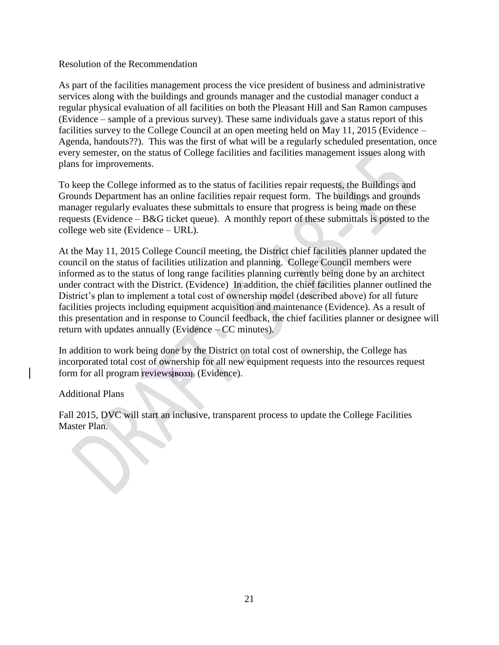#### Resolution of the Recommendation

As part of the facilities management process the vice president of business and administrative services along with the buildings and grounds manager and the custodial manager conduct a regular physical evaluation of all facilities on both the Pleasant Hill and San Ramon campuses (Evidence – sample of a previous survey). These same individuals gave a status report of this facilities survey to the College Council at an open meeting held on May 11, 2015 (Evidence – Agenda, handouts??). This was the first of what will be a regularly scheduled presentation, once every semester, on the status of College facilities and facilities management issues along with plans for improvements.

To keep the College informed as to the status of facilities repair requests, the Buildings and Grounds Department has an online facilities repair request form. The buildings and grounds manager regularly evaluates these submittals to ensure that progress is being made on these requests (Evidence – B&G ticket queue). A monthly report of these submittals is posted to the college web site (Evidence – URL).

At the May 11, 2015 College Council meeting, the District chief facilities planner updated the council on the status of facilities utilization and planning. College Council members were informed as to the status of long range facilities planning currently being done by an architect under contract with the District. (Evidence) In addition, the chief facilities planner outlined the District's plan to implement a total cost of ownership model (described above) for all future facilities projects including equipment acquisition and maintenance (Evidence). As a result of this presentation and in response to Council feedback, the chief facilities planner or designee will return with updates annually (Evidence – CC minutes).

In addition to work being done by the District on total cost of ownership, the College has incorporated total cost of ownership for all new equipment requests into the resources request form for all program reviews**[BO33]**. (Evidence).

#### Additional Plans

Fall 2015, DVC will start an inclusive, transparent process to update the College Facilities Master Plan.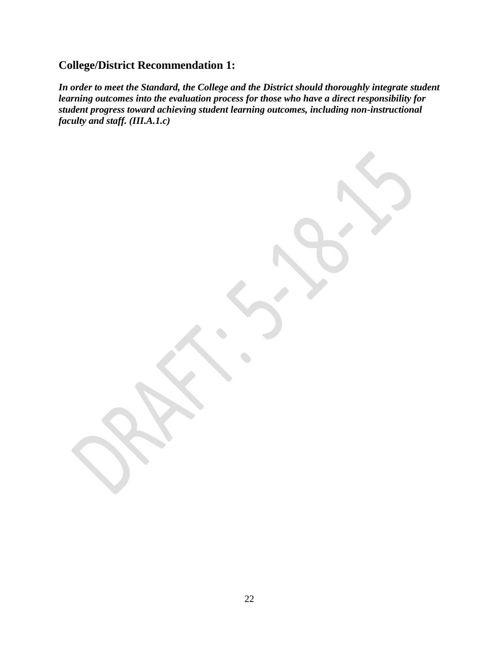## <span id="page-26-0"></span>**College/District Recommendation 1:**

*In order to meet the Standard, the College and the District should thoroughly integrate student learning outcomes into the evaluation process for those who have a direct responsibility for student progress toward achieving student learning outcomes, including non-instructional faculty and staff. (III.A.1.c)*